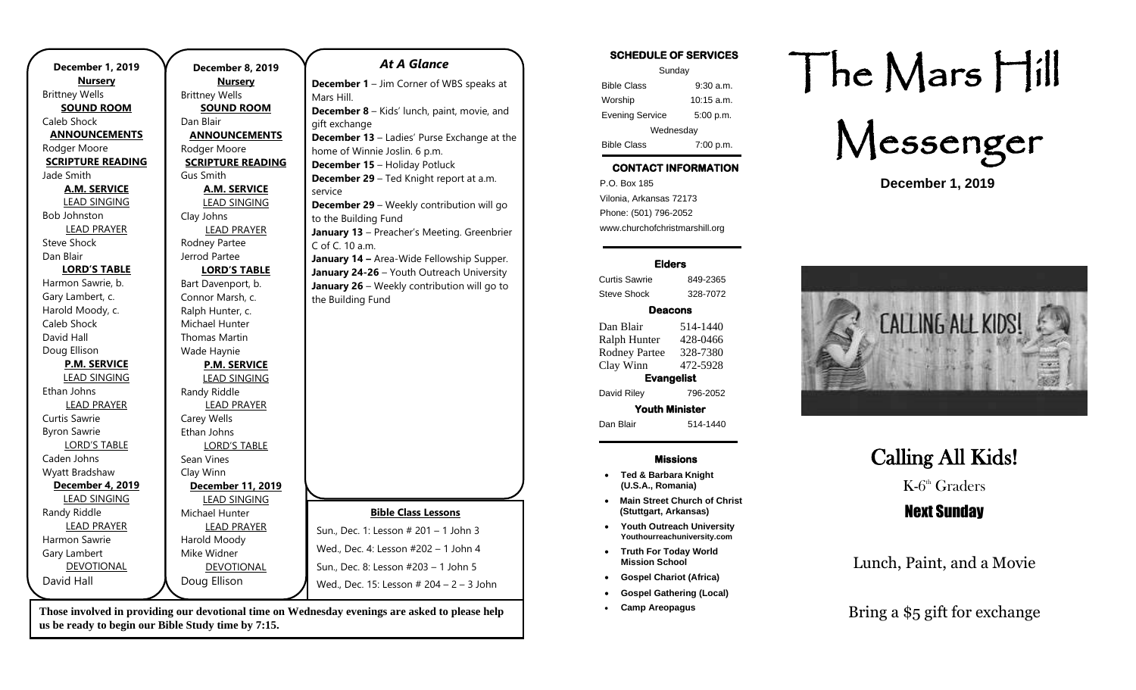| <b>December 1, 2019</b>  | December 8, 2019         | <b>At A Glance</b>                                 |
|--------------------------|--------------------------|----------------------------------------------------|
| <b>Nursery</b>           | <b>Nursery</b>           | <b>December 1</b> - Jim Corner of WBS speaks at    |
| <b>Brittney Wells</b>    | <b>Brittney Wells</b>    | Mars Hill.                                         |
| <b>SOUND ROOM</b>        | <b>SOUND ROOM</b>        | December 8 - Kids' lunch, paint, movie, and        |
| Caleb Shock              | Dan Blair                | gift exchange                                      |
| <b>ANNOUNCEMENTS</b>     | <b>ANNOUNCEMENTS</b>     | <b>December 13</b> - Ladies' Purse Exchange at the |
| Rodger Moore             | Rodger Moore             | home of Winnie Joslin. 6 p.m.                      |
| <b>SCRIPTURE READING</b> | <b>SCRIPTURE READING</b> | <b>December 15 - Holiday Potluck</b>               |
| Jade Smith               | Gus Smith                | December 29 - Ted Knight report at a.m.            |
| <b>A.M. SERVICE</b>      | <b>A.M. SERVICE</b>      | service                                            |
| <b>LEAD SINGING</b>      | <b>LEAD SINGING</b>      | December 29 - Weekly contribution will go          |
| <b>Bob Johnston</b>      | Clay Johns               | to the Building Fund                               |
| <b>LEAD PRAYER</b>       | <b>LEAD PRAYER</b>       | January 13 - Preacher's Meeting. Greenbrier        |
| <b>Steve Shock</b>       | Rodney Partee            | C of C. 10 a.m.                                    |
| Dan Blair                | Jerrod Partee            | January 14 - Area-Wide Fellowship Supper.          |
| <b>LORD'S TABLE</b>      | <b>LORD'S TABLE</b>      | January 24-26 - Youth Outreach University          |
| Harmon Sawrie, b.        | Bart Davenport, b.       | January 26 - Weekly contribution will go to        |
| Gary Lambert, c.         | Connor Marsh, c.         | the Building Fund                                  |
| Harold Moody, c.         | Ralph Hunter, c.         |                                                    |
| Caleb Shock              | Michael Hunter           |                                                    |
| David Hall               | <b>Thomas Martin</b>     |                                                    |
| Doug Ellison             | Wade Haynie              |                                                    |
| <b>P.M. SERVICE</b>      | <b>P.M. SERVICE</b>      |                                                    |
| <b>LEAD SINGING</b>      | <b>LEAD SINGING</b>      |                                                    |
| Ethan Johns              | Randy Riddle             |                                                    |
| <b>LEAD PRAYER</b>       | <b>LEAD PRAYER</b>       |                                                    |
| Curtis Sawrie            | Carey Wells              |                                                    |
| <b>Byron Sawrie</b>      | Ethan Johns              |                                                    |
| <b>LORD'S TABLE</b>      | <b>LORD'S TABLE</b>      |                                                    |
| Caden Johns              | Sean Vines               |                                                    |
| Wyatt Bradshaw           | Clay Winn                |                                                    |
| December 4, 2019         | December 11, 2019        |                                                    |
| <b>LEAD SINGING</b>      | <b>LEAD SINGING</b>      |                                                    |
| Randy Riddle             | Michael Hunter           | <b>Bible Class Lessons</b>                         |
| <b>LEAD PRAYER</b>       | <b>LEAD PRAYER</b>       | Sun., Dec. 1: Lesson # 201 - 1 John 3              |
| Harmon Sawrie            | Harold Moody             |                                                    |
| Gary Lambert             | Mike Widner              | Wed., Dec. 4: Lesson #202 - 1 John 4               |
| <b>DEVOTIONAL</b>        | DEVOTIONAL               | Sun., Dec. 8: Lesson #203 - 1 John 5               |
| David Hall               | Doug Ellison             | Wed., Dec. 15: Lesson # 204 - 2 - 3 John           |
|                          |                          |                                                    |

Those involved in providing our devotional time on Wednesday evenings are asked to please help **Find a secure of the set of the set of the set of the set of the set of the set of the set of the set of the set of the set of us be ready to begin our Bible Study time by 7:15.** 

### **SCHEDULE OF SERVICES**  Sunday Bible Class 9:30 a.m. Worship 10:15 a.m. Evening Service 5:00 p.m. Wednesday Bible Class 7:00 p.m.

## **CONTACT INFORMATION**

. .o. Box 166<br>Vilonia, Arkansas 72173 P.O. Box 185 Phone: (501) 796-2052 www.churchofchristmarshill.org

### **Elders**

Curtis Sawrie 849-2365 Steve Shock 328-7072

### **Deacons**

Dan Blair 514-1440 Ralph Hunter 428-0466 Rodney Partee 328-7380 Clay Winn 472-5928 **Evangelist**  David Riley 796-2052

**Youth Minister**  Dan Blair 514-1440

#### **Missions**

- **Ted & Barbara Knight (U.S.A., Romania)**
- **Main Street Church of Christ (Stuttgart, Arkansas)**
- **Youth Outreach University Youthourreachuniversity.com**
- **Truth For Today World Mission School**
- **Gospel Chariot (Africa)**
- **Gospel Gathering (Local)**
- **Camp Areopagus**

# The Mars Hill

Messenger

**December 1, 2019**



## Calling All Kids! K-6<sup>th</sup> Graders Next Sunday

Lunch, Paint, and a Movie